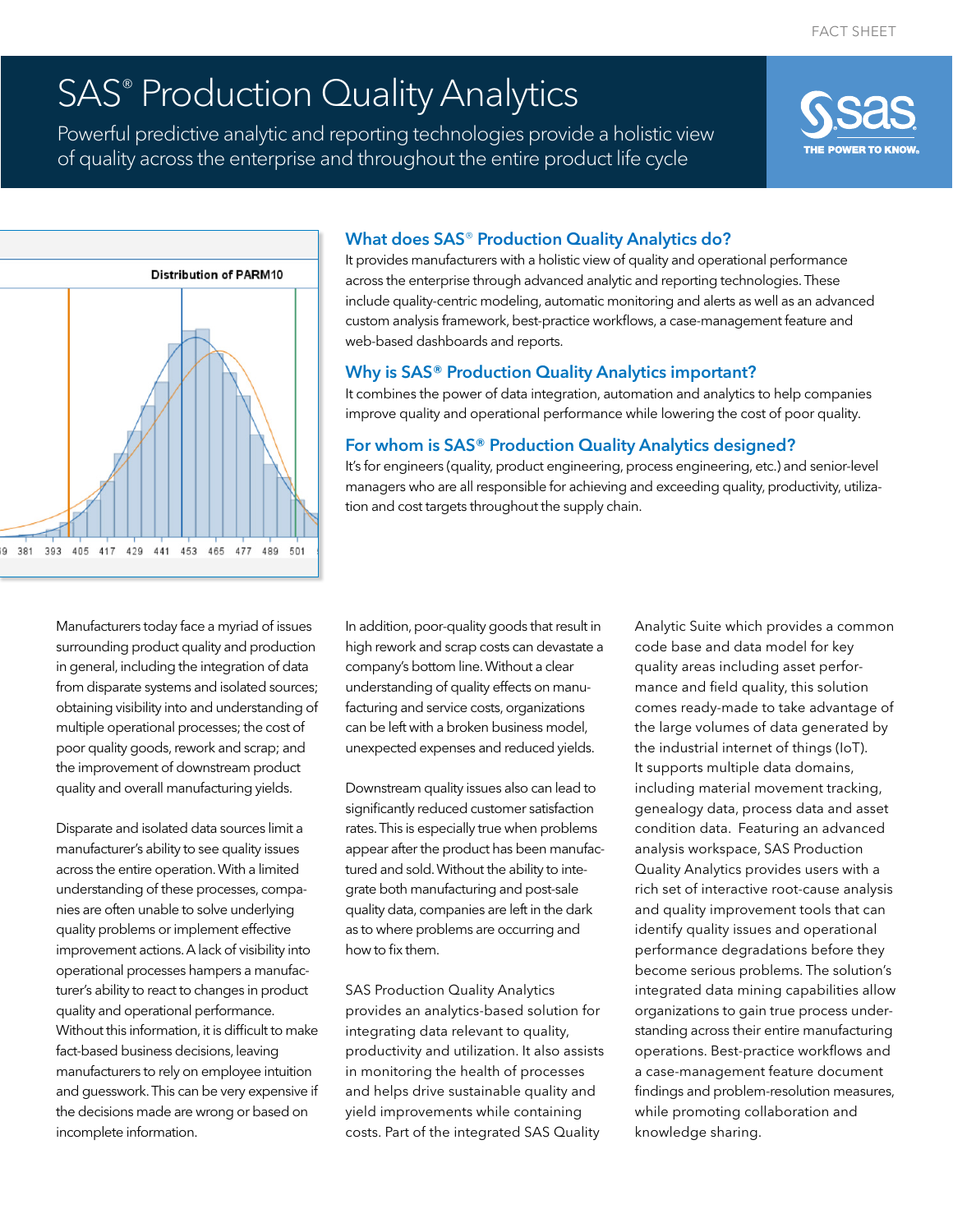# SAS<sup>®</sup> Production Quality Analytics

Powerful predictive analytic and reporting technologies provide a holistic view of quality across the enterprise and throughout the entire product life cycle





# What does SAS® Production Quality Analytics do?

It provides manufacturers with a holistic view of quality and operational performance across the enterprise through advanced analytic and reporting technologies. These include quality-centric modeling, automatic monitoring and alerts as well as an advanced custom analysis framework, best-practice workflows, a case-management feature and web-based dashboards and reports.

# Why is SAS® Production Quality Analytics important?

It combines the power of data integration, automation and analytics to help companies improve quality and operational performance while lowering the cost of poor quality.

# For whom is SAS® Production Quality Analytics designed?

It's for engineers (quality, product engineering, process engineering, etc.) and senior-level managers who are all responsible for achieving and exceeding quality, productivity, utilization and cost targets throughout the supply chain.

Manufacturers today face a myriad of issues surrounding product quality and production in general, including the integration of data from disparate systems and isolated sources; obtaining visibility into and understanding of multiple operational processes; the cost of poor quality goods, rework and scrap; and the improvement of downstream product quality and overall manufacturing yields.

Disparate and isolated data sources limit a manufacturer's ability to see quality issues across the entire operation. With a limited understanding of these processes, companies are often unable to solve underlying quality problems or implement effective improvement actions. A lack of visibility into operational processes hampers a manufacturer's ability to react to changes in product quality and operational performance. Without this information, it is difficult to make fact-based business decisions, leaving manufacturers to rely on employee intuition and guesswork. This can be very expensive if the decisions made are wrong or based on incomplete information.

In addition, poor-quality goods that result in high rework and scrap costs can devastate a company's bottom line. Without a clear understanding of quality effects on manufacturing and service costs, organizations can be left with a broken business model, unexpected expenses and reduced yields.

Downstream quality issues also can lead to significantly reduced customer satisfaction rates. This is especially true when problems appear after the product has been manufactured and sold. Without the ability to integrate both manufacturing and post-sale quality data, companies are left in the dark as to where problems are occurring and how to fix them.

SAS Production Quality Analytics provides an analytics-based solution for integrating data relevant to quality, productivity and utilization. It also assists in monitoring the health of processes and helps drive sustainable quality and yield improvements while containing costs. Part of the integrated SAS Quality

Analytic Suite which provides a common code base and data model for key quality areas including asset performance and field quality, this solution comes ready-made to take advantage of the large volumes of data generated by the industrial internet of things (IoT). It supports multiple data domains, including material movement tracking, genealogy data, process data and asset condition data. Featuring an advanced analysis workspace, SAS Production Quality Analytics provides users with a rich set of interactive root-cause analysis and quality improvement tools that can identify quality issues and operational performance degradations before they become serious problems. The solution's integrated data mining capabilities allow organizations to gain true process understanding across their entire manufacturing operations. Best-practice workflows and a case-management feature document findings and problem-resolution measures, while promoting collaboration and knowledge sharing.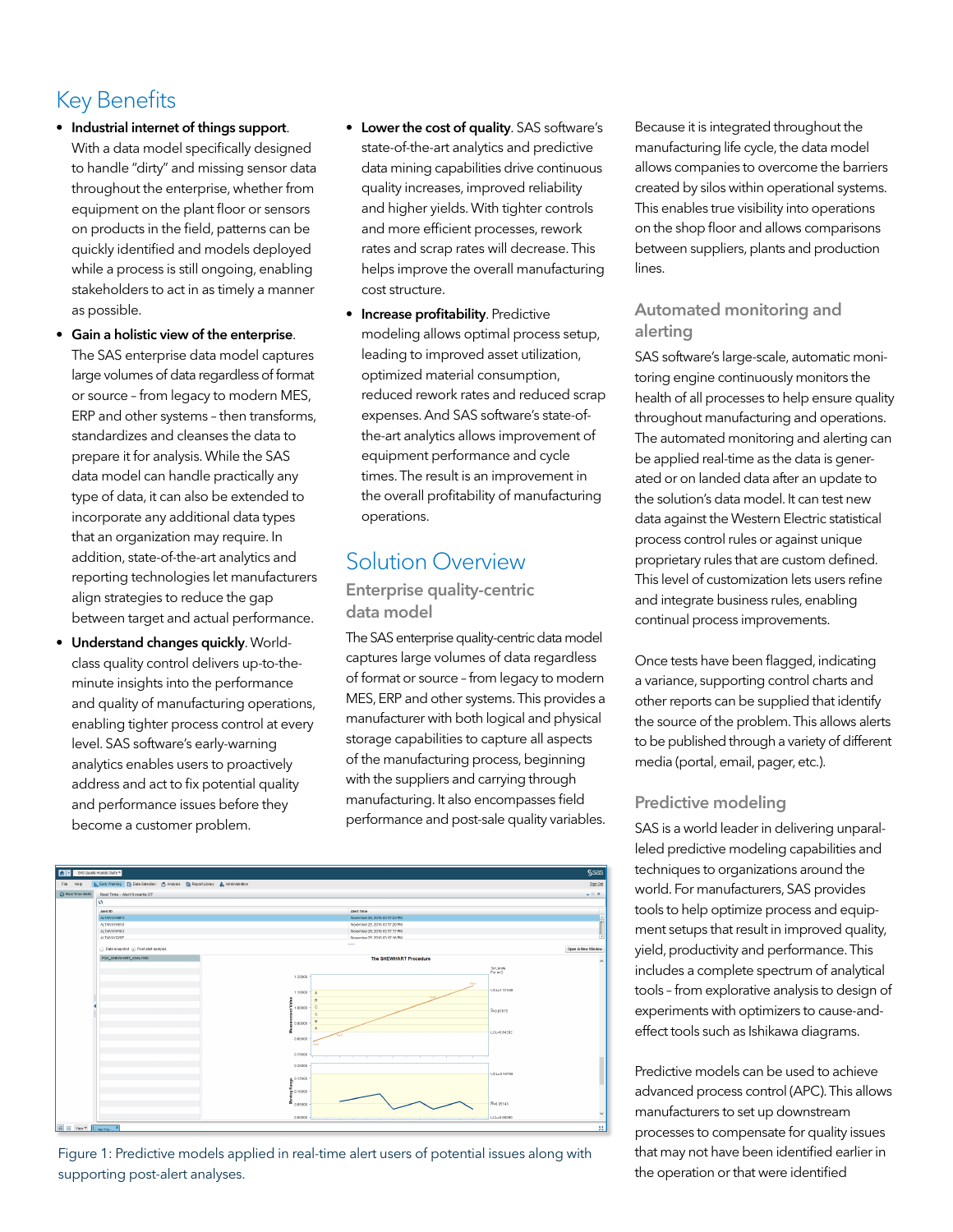# Key Benefits

- Industrial internet of things support. With a data model specifically designed to handle "dirty" and missing sensor data throughout the enterprise, whether from equipment on the plant floor or sensors on products in the field, patterns can be quickly identified and models deployed while a process is still ongoing, enabling stakeholders to act in as timely a manner as possible.
- Gain a holistic view of the enterprise. The SAS enterprise data model captures large volumes of data regardless of format or source – from legacy to modern MES, ERP and other systems – then transforms, standardizes and cleanses the data to prepare it for analysis. While the SAS data model can handle practically any type of data, it can also be extended to incorporate any additional data types that an organization may require. In addition, state-of-the-art analytics and reporting technologies let manufacturers align strategies to reduce the gap between target and actual performance.
- Understand changes quickly. Worldclass quality control delivers up-to-theminute insights into the performance and quality of manufacturing operations, enabling tighter process control at every level. SAS software's early-warning analytics enables users to proactively address and act to fix potential quality and performance issues before they become a customer problem.
- Lower the cost of quality. SAS software's state-of-the-art analytics and predictive data mining capabilities drive continuous quality increases, improved reliability and higher yields. With tighter controls and more efficient processes, rework rates and scrap rates will decrease. This helps improve the overall manufacturing cost structure.
- **Increase profitability**. Predictive modeling allows optimal process setup, leading to improved asset utilization, optimized material consumption, reduced rework rates and reduced scrap expenses. And SAS software's state-ofthe-art analytics allows improvement of equipment performance and cycle times. The result is an improvement in the overall profitability of manufacturing operations.

# Solution Overview

### Enterprise quality-centric data model

The SAS enterprise quality-centric data model captures large volumes of data regardless of format or source – from legacy to modern MES, ERP and other systems. This provides a manufacturer with both logical and physical storage capabilities to capture all aspects of the manufacturing process, beginning with the suppliers and carrying through manufacturing. It also encompasses field performance and post-sale quality variables.



Figure 1: Predictive models applied in real-time alert users of potential issues along with supporting post-alert analyses.

Because it is integrated throughout the manufacturing life cycle, the data model allows companies to overcome the barriers created by silos within operational systems. This enables true visibility into operations on the shop floor and allows comparisons between suppliers, plants and production lines.

### Automated monitoring and alerting

SAS software's large-scale, automatic monitoring engine continuously monitors the health of all processes to help ensure quality throughout manufacturing and operations. The automated monitoring and alerting can be applied real-time as the data is generated or on landed data after an update to the solution's data model. It can test new data against the Western Electric statistical process control rules or against unique proprietary rules that are custom defined. This level of customization lets users refine and integrate business rules, enabling continual process improvements.

Once tests have been flagged, indicating a variance, supporting control charts and other reports can be supplied that identify the source of the problem. This allows alerts to be published through a variety of different media (portal, email, pager, etc.).

# Predictive modeling

SAS is a world leader in delivering unparalleled predictive modeling capabilities and techniques to organizations around the world. For manufacturers, SAS provides tools to help optimize process and equipment setups that result in improved quality, yield, productivity and performance. This includes a complete spectrum of analytical tools – from explorative analysis to design of experiments with optimizers to cause-andeffect tools such as Ishikawa diagrams.

Predictive models can be used to achieve advanced process control (APC). This allows manufacturers to set up downstream processes to compensate for quality issues that may not have been identified earlier in the operation or that were identified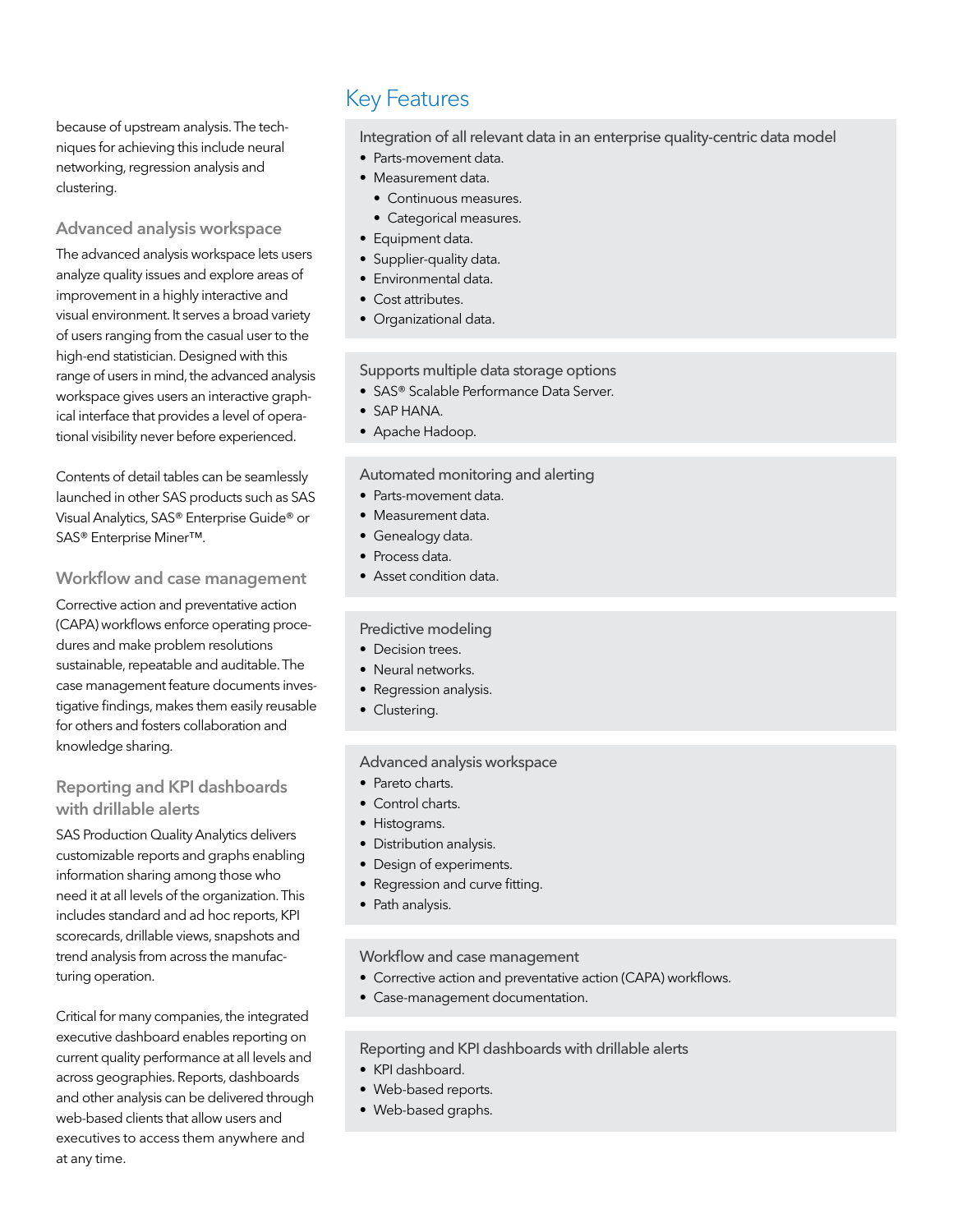because of upstream analysis. The techniques for achieving this include neural networking, regression analysis and clustering.

### Advanced analysis workspace

The advanced analysis workspace lets users analyze quality issues and explore areas of improvement in a highly interactive and visual environment. It serves a broad variety of users ranging from the casual user to the high-end statistician. Designed with this range of users in mind, the advanced analysis workspace gives users an interactive graphical interface that provides a level of operational visibility never before experienced.

Contents of detail tables can be seamlessly launched in other SAS products such as SAS Visual Analytics, SAS® Enterprise Guide® or SAS® Enterprise Miner™.

### Workflow and case management

Corrective action and preventative action (CAPA) workflows enforce operating procedures and make problem resolutions sustainable, repeatable and auditable. The case management feature documents investigative findings, makes them easily reusable for others and fosters collaboration and knowledge sharing.

### Reporting and KPI dashboards with drillable alerts

SAS Production Quality Analytics delivers customizable reports and graphs enabling information sharing among those who need it at all levels of the organization. This includes standard and ad hoc reports, KPI scorecards, drillable views, snapshots and trend analysis from across the manufacturing operation.

Critical for many companies, the integrated executive dashboard enables reporting on current quality performance at all levels and across geographies. Reports, dashboards and other analysis can be delivered through web-based clients that allow users and executives to access them anywhere and at any time.

# Key Features

Integration of all relevant data in an enterprise quality-centric data model

- Parts-movement data.
- Measurement data.
	- Continuous measures.
	- Categorical measures.
- Equipment data.
- Supplier-quality data.
- Environmental data.
- Cost attributes.
- Organizational data.

Supports multiple data storage options

- SAS® Scalable Performance Data Server.
- SAP HANA.
- Apache Hadoop.

#### Automated monitoring and alerting

- Parts-movement data.
- Measurement data.
- Genealogy data.
- Process data.
- Asset condition data.

### Predictive modeling

- Decision trees.
- Neural networks.
- Regression analysis.
- Clustering.

### Advanced analysis workspace

- Pareto charts.
- Control charts.
- Histograms.
- Distribution analysis.
- Design of experiments.
- Regression and curve fitting.
- Path analysis.

### Workflow and case management

- Corrective action and preventative action (CAPA) workflows.
- Case-management documentation.

### Reporting and KPI dashboards with drillable alerts

- KPI dashboard.
- Web-based reports.
- Web-based graphs.